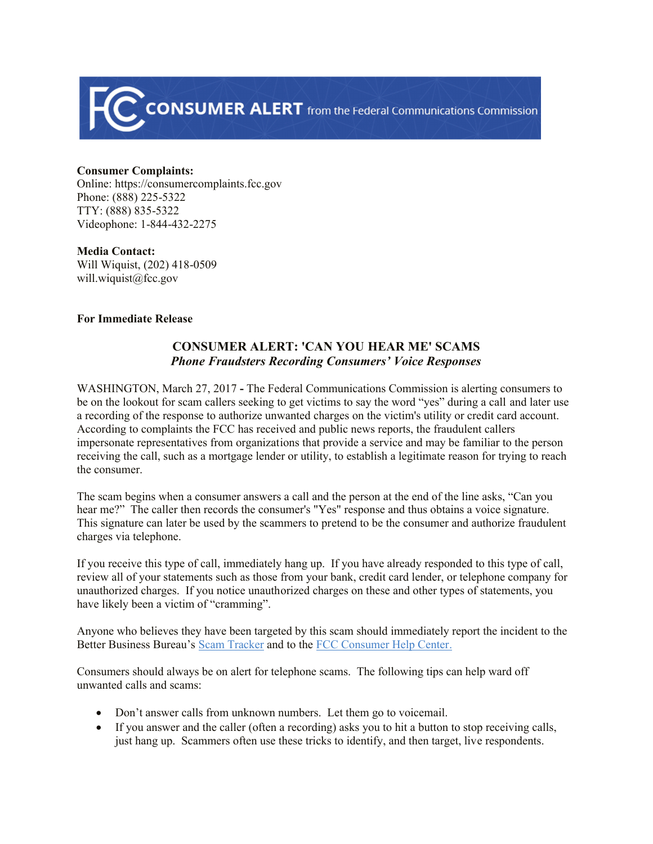

## **Consumer Complaints:**

Online: https://consumercomplaints.fcc.gov Phone: (888) 225-5322 TTY: (888) 835-5322 Videophone: 1-844-432-2275

## **Media Contact:**

Will Wiquist, (202) 418-0509 will.wiquist@fcc.gov

## **For Immediate Release**

## **CONSUMER ALERT: 'CAN YOU HEAR ME' SCAMS** *Phone Fraudsters Recording Consumers' Voice Responses*

WASHINGTON, March 27, 2017 **-** The Federal Communications Commission is alerting consumers to be on the lookout for scam callers seeking to get victims to say the word "yes" during a call and later use a recording of the response to authorize unwanted charges on the victim's utility or credit card account. According to complaints the FCC has received and public news reports, the fraudulent callers impersonate representatives from organizations that provide a service and may be familiar to the person receiving the call, such as a mortgage lender or utility, to establish a legitimate reason for trying to reach the consumer.

The scam begins when a consumer answers a call and the person at the end of the line asks, "Can you hear me?" The caller then records the consumer's "Yes" response and thus obtains a voice signature. This signature can later be used by the scammers to pretend to be the consumer and authorize fraudulent charges via telephone.

If you receive this type of call, immediately hang up. If you have already responded to this type of call, review all of your statements such as those from your bank, credit card lender, or telephone company for unauthorized charges. If you notice unauthorized charges on these and other types of statements, you have likely been a victim of "cramming".

Anyone who believes they have been targeted by this scam should immediately report the incident to the Better Business Bureau's Scam Tracker and to the FCC Consumer Help Center.

Consumers should always be on alert for telephone scams. The following tips can help ward off unwanted calls and scams:

- Don't answer calls from unknown numbers. Let them go to voicemail.
- If you answer and the caller (often a recording) asks you to hit a button to stop receiving calls, just hang up. Scammers often use these tricks to identify, and then target, live respondents.